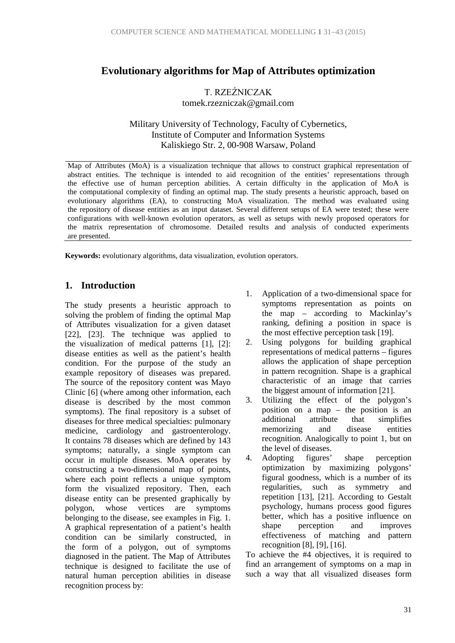# **Evolutionary algorithms for Map of Attributes optimization**

T. RZEŹNICZAK tomek.rzezniczak@gmail.com

Military University of Technology, Faculty of Cybernetics, Institute of Computer and Information Systems Kaliskiego Str. 2, 00-908 Warsaw, Poland

Map of Attributes (MoA) is a visualization technique that allows to construct graphical representation of abstract entities. The technique is intended to aid recognition of the entities' representations through the effective use of human perception abilities. A certain difficulty in the application of MoA is the computational complexity of finding an optimal map. The study presents a heuristic approach, based on evolutionary algorithms (EA), to constructing MoA visualization. The method was evaluated using the repository of disease entities as an input dataset. Several different setups of EA were tested; these were configurations with well-known evolution operators, as well as setups with newly proposed operators for the matrix representation of chromosome. Detailed results and analysis of conducted experiments are presented.

**Keywords:** evolutionary algorithms, data visualization, evolution operators.

## **1. Introduction**

The study presents a heuristic approach to solving the problem of finding the optimal Map of Attributes visualization for a given dataset [22], [23]. The technique was applied to the visualization of medical patterns [1], [2]: disease entities as well as the patient's health condition. For the purpose of the study an example repository of diseases was prepared. The source of the repository content was Mayo Clinic [6] (where among other information, each disease is described by the most common symptoms). The final repository is a subset of diseases for three medical specialties: pulmonary medicine, cardiology and gastroenterology. It contains 78 diseases which are defined by 143 symptoms; naturally, a single symptom can occur in multiple diseases. MoA operates by constructing a two-dimensional map of points, where each point reflects a unique symptom form the visualized repository. Then, each disease entity can be presented graphically by polygon, whose vertices are symptoms belonging to the disease, see examples in Fig. 1. A graphical representation of a patient's health condition can be similarly constructed, in the form of a polygon, out of symptoms diagnosed in the patient. The Map of Attributes technique is designed to facilitate the use of natural human perception abilities in disease recognition process by:

- 1. Application of a two-dimensional space for symptoms representation as points on the map – according to Mackinlay's ranking, defining a position in space is the most effective perception task [19].
- 2. Using polygons for building graphical representations of medical patterns – figures allows the application of shape perception in pattern recognition. Shape is a graphical characteristic of an image that carries the biggest amount of information [21].
- 3. Utilizing the effect of the polygon's position on a map – the position is an additional attribute that simplifies memorizing and disease entities recognition. Analogically to point 1, but on the level of diseases.
- 4. Adopting figures' shape perception optimization by maximizing polygons' figural goodness, which is a number of its regularities, such as symmetry and repetition [13], [21]. According to Gestalt psychology, humans process good figures better, which has a positive influence on shape perception and improves effectiveness of matching and pattern recognition [8], [9], [16].

To achieve the #4 objectives, it is required to find an arrangement of symptoms on a map in such a way that all visualized diseases form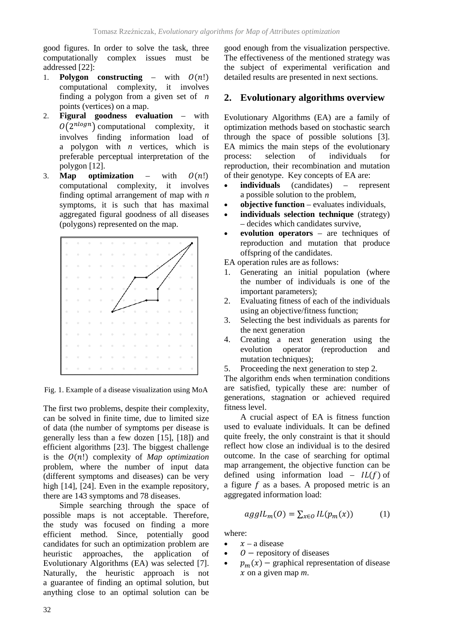good figures. In order to solve the task, three computationally complex issues must be addressed [22]:

- 1. **Polygon constructing** with  $O(n!)$ computational complexity, it involves finding a polygon from a given set of *n*  points (vertices) on a map.
- 2. **Figural goodness evaluation** with  $O(2^{nlog n})$  computational complexity, it involves finding information load of a polygon with *n* vertices, which is preferable perceptual interpretation of the polygon [12].
- 3. **Map optimization** with  $O(n!)$ computational complexity, it involves finding optimal arrangement of map with *n*  symptoms, it is such that has maximal aggregated figural goodness of all diseases (polygons) represented on the map.



Fig. 1. Example of a disease visualization using MoA

The first two problems, despite their complexity, can be solved in finite time, due to limited size of data (the number of symptoms per disease is generally less than a few dozen [15], [18]) and efficient algorithms [23]. The biggest challenge is the  $O(n!)$  complexity of *Map optimization* problem, where the number of input data (different symptoms and diseases) can be very high [14], [24]. Even in the example repository, there are 143 symptoms and 78 diseases.

Simple searching through the space of possible maps is not acceptable. Therefore, the study was focused on finding a more efficient method. Since, potentially good candidates for such an optimization problem are heuristic approaches, the application of Evolutionary Algorithms (EA) was selected [7]. Naturally, the heuristic approach is not a guarantee of finding an optimal solution, but anything close to an optimal solution can be

good enough from the visualization perspective. The effectiveness of the mentioned strategy was the subject of experimental verification and detailed results are presented in next sections.

## **2. Evolutionary algorithms overview**

Evolutionary Algorithms (EA) are a family of optimization methods based on stochastic search through the space of possible solutions [3]. EA mimics the main steps of the evolutionary process: selection of individuals for reproduction, their recombination and mutation of their genotype. Key concepts of EA are:

- **individuals** (candidates) represent a possible solution to the problem,
- **objective function** evaluates individuals,
- **individuals selection technique** (strategy) – decides which candidates survive,
- **evolution operators** are techniques of reproduction and mutation that produce offspring of the candidates.
- EA operation rules are as follows:
- 1. Generating an initial population (where the number of individuals is one of the important parameters);
- 2. Evaluating fitness of each of the individuals using an objective/fitness function;
- 3. Selecting the best individuals as parents for the next generation
- 4. Creating a next generation using the evolution operator (reproduction and mutation techniques);
- 5. Proceeding the next generation to step 2.

The algorithm ends when termination conditions are satisfied, typically these are: number of generations, stagnation or achieved required fitness level.

A crucial aspect of EA is fitness function used to evaluate individuals. It can be defined quite freely, the only constraint is that it should reflect how close an individual is to the desired outcome. In the case of searching for optimal map arrangement, the objective function can be defined using information load –  $IL(f)$  of a figure  $f$  as a bases. A proposed metric is an aggregated information load:

$$
agglL_m(O) = \sum_{x \in O} IL(p_m(x)) \tag{1}
$$

where:

- $x a$  disease
- $\bullet$   $\theta$  repository of diseases
- $p_m(x)$  graphical representation of disease  $x$  on a given map  $m$ .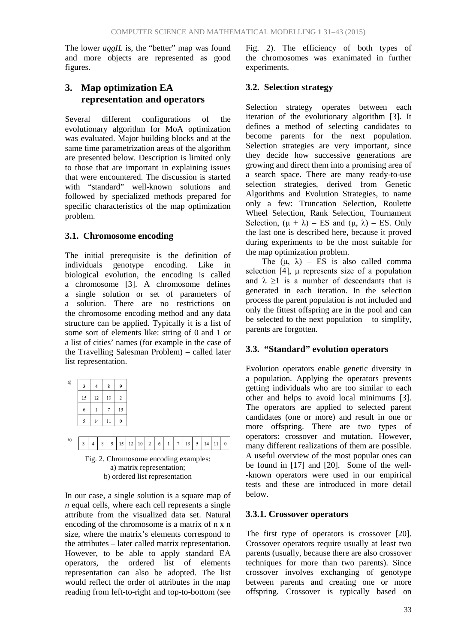The lower *aggIL* is, the "better" map was found and more objects are represented as good figures.

# **3. Map optimization EA representation and operators**

Several different configurations of the evolutionary algorithm for MoA optimization was evaluated. Major building blocks and at the same time parametrization areas of the algorithm are presented below. Description is limited only to those that are important in explaining issues that were encountered. The discussion is started with "standard" well-known solutions and followed by specialized methods prepared for specific characteristics of the map optimization problem.

## **3.1. Chromosome encoding**

The initial prerequisite is the definition of individuals genotype encoding. Like in biological evolution, the encoding is called a chromosome [3]. A chromosome defines a single solution or set of parameters of a solution. There are no restrictions on the chromosome encoding method and any data structure can be applied. Typically it is a list of some sort of elements like: string of 0 and 1 or a list of cities' names (for example in the case of the Travelling Salesman Problem) – called later list representation.

| a) | 3  |    | 8  | 9  |
|----|----|----|----|----|
|    | 15 | 12 | 10 | 2  |
|    | 6  |    | 7  | 13 |
|    | 5  | 14 | 11 | 0  |

|  |  |  |  |  |  |  | Fig. 2. Chromosome anooding example: |  |
|--|--|--|--|--|--|--|--------------------------------------|--|

Fig. 2. Chromosome encoding examples: a) matrix representation; b) ordered list representation

In our case, a single solution is a square map of *n* equal cells, where each cell represents a single attribute from the visualized data set. Natural encoding of the chromosome is a matrix of n x n size, where the matrix's elements correspond to the attributes – later called matrix representation. However, to be able to apply standard EA operators, the ordered list of elements representation can also be adopted. The list would reflect the order of attributes in the map reading from left-to-right and top-to-bottom (see Fig. 2). The efficiency of both types of the chromosomes was exanimated in further experiments.

## **3.2. Selection strategy**

Selection strategy operates between each iteration of the evolutionary algorithm [3]. It defines a method of selecting candidates to become parents for the next population. Selection strategies are very important, since they decide how successive generations are growing and direct them into a promising area of a search space. There are many ready-to-use selection strategies, derived from Genetic Algorithms and Evolution Strategies, to name only a few: Truncation Selection, Roulette Wheel Selection, Rank Selection, Tournament Selection,  $(\mu + \lambda)$  – ES and  $(\mu, \lambda)$  – ES. Only the last one is described here, because it proved during experiments to be the most suitable for the map optimization problem.

The  $(\mu, \lambda)$  – ES is also called comma selection [4], μ represents size of a population and  $\lambda$  >1 is a number of descendants that is generated in each iteration. In the selection process the parent population is not included and only the fittest offspring are in the pool and can be selected to the next population – to simplify, parents are forgotten.

## **3.3. "Standard" evolution operators**

Evolution operators enable genetic diversity in a population. Applying the operators prevents getting individuals who are too similar to each other and helps to avoid local minimums [3]. The operators are applied to selected parent candidates (one or more) and result in one or more offspring. There are two types of operators: crossover and mutation. However, many different realizations of them are possible. A useful overview of the most popular ones can be found in [17] and [20]. Some of the well- -known operators were used in our empirical tests and these are introduced in more detail below.

### **3.3.1. Crossover operators**

The first type of operators is crossover [20]. Crossover operators require usually at least two parents (usually, because there are also crossover techniques for more than two parents). Since crossover involves exchanging of genotype between parents and creating one or more offspring. Crossover is typically based on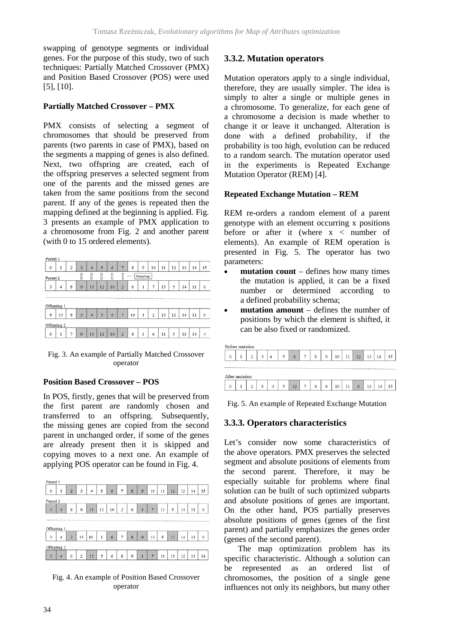swapping of genotype segments or individual genes. For the purpose of this study, two of such techniques: Partially Matched Crossover (PMX) and Position Based Crossover (POS) were used [5], [10].

## **Partially Matched Crossover – PMX**

PMX consists of selecting a segment of chromosomes that should be preserved from parents (two parents in case of PMX), based on the segments a mapping of genes is also defined. Next, two offspring are created, each of the offspring preserves a selected segment from one of the parents and the missed genes are taken from the same positions from the second parent. If any of the genes is repeated then the mapping defined at the beginning is applied. Fig. 3 presents an example of PMX application to a chromosome from Fig. 2 and another parent (with 0 to 15 ordered elements).

| Parent 1            |                                     |   |                         |                |    |    |                         |    |              |    |    |    |    |    |             |
|---------------------|-------------------------------------|---|-------------------------|----------------|----|----|-------------------------|----|--------------|----|----|----|----|----|-------------|
| 0                   | $\mathbf{1}$                        | 2 | $\overline{3}$          | $\overline{4}$ | 5  | 6  | 7                       | 8  | 9            | 10 | 11 | 12 | 13 | 14 | 15          |
| Parent <sub>2</sub> | Î<br>Mappings<br>JI<br>J<br>J<br>48 |   |                         |                |    |    |                         |    |              |    |    |    |    |    |             |
| 3                   | $\overline{4}$                      | 8 | 9                       | 15             | 12 | 10 | $\overline{2}$          | 6  | $\mathbf{1}$ | 7  | 13 | 5  | 14 | 11 | $\mathbf 0$ |
|                     |                                     |   |                         |                |    |    |                         |    |              |    |    |    |    |    |             |
|                     | Offspring 1                         |   |                         |                |    |    |                         |    |              |    |    |    |    |    |             |
| 9                   | 15                                  | 8 | $\overline{\mathbf{3}}$ | 4              | 5  | 6  | $\overline{7}$          | 10 | 1            | 2  | 13 | 12 | 14 | 11 | 0           |
|                     |                                     |   |                         |                |    |    |                         |    |              |    |    |    |    |    |             |
| Offspring 2         |                                     |   |                         |                |    |    |                         |    |              |    |    |    |    |    |             |
| $\mathbf 0$         | ı                                   | 7 | 9                       | 15             | 12 | 10 | $\overline{\mathbf{2}}$ | 8  | 3            | 6  | 11 | 5  | 13 | 14 | 4           |

Fig. 3. An example of Partially Matched Crossover operator

### **Position Based Crossover – POS**

In POS, firstly, genes that will be preserved from the first parent are randomly chosen and transferred to an offspring. Subsequently, the missing genes are copied from the second parent in unchanged order, if some of the genes are already present then it is skipped and copying moves to a next one. An example of applying POS operator can be found in Fig. 4.



Fig. 4. An example of Position Based Crossover operator

## **3.3.2. Mutation operators**

Mutation operators apply to a single individual, therefore, they are usually simpler. The idea is simply to alter a single or multiple genes in a chromosome. To generalize, for each gene of a chromosome a decision is made whether to change it or leave it unchanged. Alteration is done with a defined probability, if the probability is too high, evolution can be reduced to a random search. The mutation operator used in the experiments is Repeated Exchange Mutation Operator (REM) [4].

### **Repeated Exchange Mutation – REM**

REM re-orders a random element of a parent genotype with an element occurring x positions before or after it (where  $x <$  number of elements). An example of REM operation is presented in Fig. 5. The operator has two parameters:

- **mutation count** defines how many times the mutation is applied, it can be a fixed number or determined according to a defined probability schema;
- **mutation amount** defines the number of positions by which the element is shifted, it can be also fixed or randomized.

|              | Before mutation |              |   |   |    |   |   |    |    |    |    |    |
|--------------|-----------------|--------------|---|---|----|---|---|----|----|----|----|----|
| $\mathbf 0$  |                 | <sup>1</sup> | ς | 5 | 6  | 8 | 9 | 10 | 12 | 13 |    | 15 |
|              |                 |              |   |   |    |   |   |    |    |    |    |    |
|              | After mutation  |              |   |   |    |   |   |    |    |    |    |    |
| $\mathbf{0}$ |                 |              | ٩ | 5 | 12 | 8 | 9 | 10 | 6  | 13 | 14 |    |

Fig. 5. An example of Repeated Exchange Mutation

## **3.3.3. Operators characteristics**

Let's consider now some characteristics of the above operators. PMX preserves the selected segment and absolute positions of elements from the second parent. Therefore, it may be especially suitable for problems where final solution can be built of such optimized subparts and absolute positions of genes are important. On the other hand, POS partially preserves absolute positions of genes (genes of the first parent) and partially emphasizes the genes order (genes of the second parent).

The map optimization problem has its specific characteristic. Although a solution can be represented as an ordered list of chromosomes, the position of a single gene influences not only its neighbors, but many other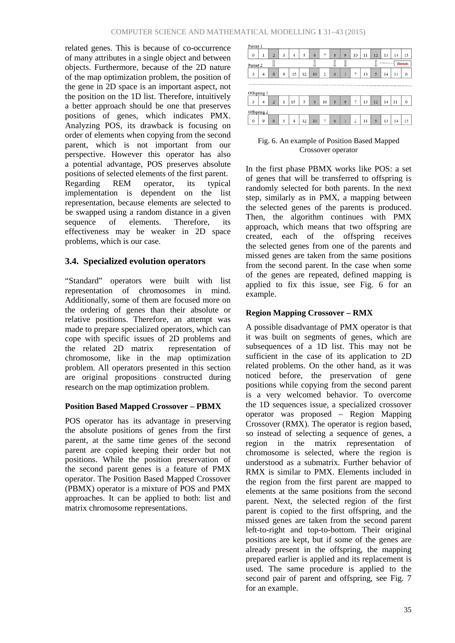related genes. This is because of co-occurrence of many attributes in a single object and between objects. Furthermore, because of the 2D nature of the map optimization problem, the position of the gene in 2D space is an important aspect, not the position on the 1D list. Therefore, intuitively a better approach should be one that preserves positions of genes, which indicates PMX. Analyzing POS, its drawback is focusing on order of elements when copying from the second parent, which is not important from our perspective. However this operator has also a potential advantage, POS preserves absolute positions of selected elements of the first parent. Regarding REM operator, its typical implementation is dependent on the list representation, because elements are selected to be swapped using a random distance in a given sequence of elements. Therefore, its effectiveness may be weaker in 2D space problems, which is our case.

### **3.4. Specialized evolution operators**

"Standard" operators were built with list representation of chromosomes in mind. Additionally, some of them are focused more on the ordering of genes than their absolute or relative positions. Therefore, an attempt was made to prepare specialized operators, which can cope with specific issues of 2D problems and<br>the related 2D matrix representation of the related  $2D$  matrix chromosome, like in the map optimization problem. All operators presented in this section are original propositions constructed during research on the map optimization problem.

#### **Position Based Mapped Crossover – PBMX**

POS operator has its advantage in preserving the absolute positions of genes from the first parent, at the same time genes of the second parent are copied keeping their order but not positions. While the position preservation of the second parent genes is a feature of PMX operator. The Position Based Mapped Crossover (PBMX) operator is a mixture of POS and PMX approaches. It can be applied to both: list and matrix chromosome representations.



Fig. 6. An example of Position Based Mapped Crossover operator

In the first phase PBMX works like POS: a set of genes that will be transferred to offspring is randomly selected for both parents. In the next step, similarly as in PMX, a mapping between the selected genes of the parents is produced. Then, the algorithm continues with PMX approach, which means that two offspring are created, each of the offspring receives the selected genes from one of the parents and missed genes are taken from the same positions from the second parent. In the case when some of the genes are repeated, defined mapping is applied to fix this issue, see Fig. 6 for an example.

### **Region Mapping Crossover – RMX**

A possible disadvantage of PMX operator is that it was built on segments of genes, which are subsequences of a 1D list. This may not be sufficient in the case of its application to 2D related problems. On the other hand, as it was noticed before, the preservation of gene positions while copying from the second parent is a very welcomed behavior. To overcome the 1D sequences issue, a specialized crossover operator was proposed – Region Mapping Crossover (RMX). The operator is region based, so instead of selecting a sequence of genes, a region in the matrix representation of chromosome is selected, where the region is understood as a submatrix. Further behavior of RMX is similar to PMX. Elements included in the region from the first parent are mapped to elements at the same positions from the second parent. Next, the selected region of the first parent is copied to the first offspring, and the missed genes are taken from the second parent left-to-right and top-to-bottom. Their original positions are kept, but if some of the genes are already present in the offspring, the mapping prepared earlier is applied and its replacement is used. The same procedure is applied to the second pair of parent and offspring, see Fig. 7 for an example.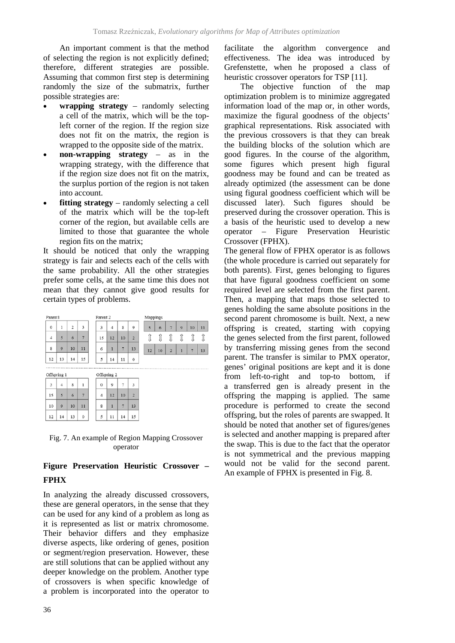An important comment is that the method of selecting the region is not explicitly defined; therefore, different strategies are possible. Assuming that common first step is determining randomly the size of the submatrix, further possible strategies are:

- **wrapping strategy** randomly selecting a cell of the matrix, which will be the topleft corner of the region. If the region size does not fit on the matrix, the region is wrapped to the opposite side of the matrix.
- **non-wrapping strategy** as in the wrapping strategy, with the difference that if the region size does not fit on the matrix, the surplus portion of the region is not taken into account.
- **fitting strategy** randomly selecting a cell of the matrix which will be the top-left corner of the region, but available cells are limited to those that guarantee the whole region fits on the matrix;

It should be noticed that only the wrapping strategy is fair and selects each of the cells with the same probability. All the other strategies prefer some cells, at the same time this does not mean that they cannot give good results for certain types of problems.

|             | Parent1 |             |    |    | Parent <sub>2</sub> |    |    |                 | Mappings |    |                |             |                |    |
|-------------|---------|-------------|----|----|---------------------|----|----|-----------------|----------|----|----------------|-------------|----------------|----|
| $\mathbf 0$ |         | 1           | 2  | 3  | 3                   | 4  | 8  | $\mathbf{Q}$    | 5        | 6  | 7              | $\mathbf Q$ | 10             | 11 |
|             | 4       | 5           | 6  | 7  | 15                  | 12 | 10 | $\overline{2}$  | I        | Î  | Î              |             |                |    |
|             | 8       | 9           | 10 | 11 | 6                   | 1  | 7  | 13              | 12       | 10 | $\overline{2}$ | 1           | $\overline{7}$ | 13 |
|             | 12      | 13          | 14 | 15 | 5                   | 14 | 11 | $\ddot{\rm{o}}$ |          |    |                |             |                |    |
|             |         |             |    |    |                     |    |    |                 |          |    |                |             |                |    |
|             |         | Offspring 1 |    |    | Offspring 2         |    |    |                 |          |    |                |             |                |    |
|             | 3       | 4           | 8  | 1  | $\theta$            | 9  | 7  | 3               |          |    |                |             |                |    |

| 3  | $\vert -4 \vert$ | 8         |    | $\bf{0}$       | 9            |                | 3          |  |
|----|------------------|-----------|----|----------------|--------------|----------------|------------|--|
| 15 | 5 <sup>5</sup>   | $\vert$ 6 |    | $\sim$         | $12 \mid 10$ |                |            |  |
| 10 | 9   10           |           | 11 | 8              |              |                | $\vert$ 13 |  |
|    | $12$   14   13   |           |    | $\mathfrak{s}$ |              | $11$   14   15 |            |  |

Fig. 7. An example of Region Mapping Crossover operator

# **Figure Preservation Heuristic Crossover – FPHX**

In analyzing the already discussed crossovers, these are general operators, in the sense that they can be used for any kind of a problem as long as it is represented as list or matrix chromosome. Their behavior differs and they emphasize diverse aspects, like ordering of genes, position or segment/region preservation. However, these are still solutions that can be applied without any deeper knowledge on the problem. Another type of crossovers is when specific knowledge of a problem is incorporated into the operator to

36

facilitate the algorithm convergence and effectiveness. The idea was introduced by Grefenstette, when he proposed a class of heuristic crossover operators for TSP [11].

The objective function of the map optimization problem is to minimize aggregated information load of the map or, in other words, maximize the figural goodness of the objects' graphical representations. Risk associated with the previous crossovers is that they can break the building blocks of the solution which are good figures. In the course of the algorithm, some figures which present high figural goodness may be found and can be treated as already optimized (the assessment can be done using figural goodness coefficient which will be discussed later). Such figures should be preserved during the crossover operation. This is a basis of the heuristic used to develop a new operator – Figure Preservation Heuristic Crossover (FPHX).

The general flow of FPHX operator is as follows (the whole procedure is carried out separately for both parents). First, genes belonging to figures that have figural goodness coefficient on some required level are selected from the first parent. Then, a mapping that maps those selected to genes holding the same absolute positions in the second parent chromosome is built. Next, a new offspring is created, starting with copying the genes selected from the first parent, followed by transferring missing genes from the second parent. The transfer is similar to PMX operator, genes' original positions are kept and it is done from left-to-right and top-to bottom, if a transferred gen is already present in the offspring the mapping is applied. The same procedure is performed to create the second offspring, but the roles of parents are swapped. It should be noted that another set of figures/genes is selected and another mapping is prepared after the swap. This is due to the fact that the operator is not symmetrical and the previous mapping would not be valid for the second parent. An example of FPHX is presented in Fig. 8.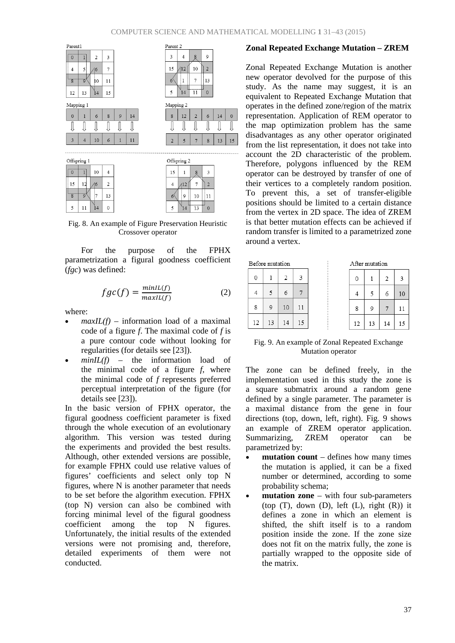

Fig. 8. An example of Figure Preservation Heuristic Crossover operator

For the purpose of the FPHX parametrization a figural goodness coefficient (*fgc*) was defined:

$$
fgc(f) = \frac{\min l(f)}{\max l(l(f))}
$$
 (2)

where:

- $maxIL(f)$  information load of a maximal code of a figure *f*. The maximal code of *f* is a pure contour code without looking for regularities (for details see [23]).
- $minIL(f)$  the information load of the minimal code of a figure *f*, where the minimal code of *f* represents preferred perceptual interpretation of the figure (for details see [23]).

In the basic version of FPHX operator, the figural goodness coefficient parameter is fixed through the whole execution of an evolutionary algorithm. This version was tested during the experiments and provided the best results. Although, other extended versions are possible, for example FPHX could use relative values of figures' coefficients and select only top N figures, where N is another parameter that needs to be set before the algorithm execution. FPHX (top N) version can also be combined with forcing minimal level of the figural goodness coefficient among the top N figures. Unfortunately, the initial results of the extended versions were not promising and, therefore, detailed experiments of them were not conducted.

### **Zonal Repeated Exchange Mutation – ZREM**

Zonal Repeated Exchange Mutation is another new operator devolved for the purpose of this study. As the name may suggest, it is an equivalent to Repeated Exchange Mutation that operates in the defined zone/region of the matrix representation. Application of REM operator to the map optimization problem has the same disadvantages as any other operator originated from the list representation, it does not take into account the 2D characteristic of the problem. Therefore, polygons influenced by the REM operator can be destroyed by transfer of one of their vertices to a completely random position. To prevent this, a set of transfer-eligible positions should be limited to a certain distance from the vertex in 2D space. The idea of ZREM is that better mutation effects can be achieved if random transfer is limited to a parametrized zone around a vertex.

| Before mutation |    |    |    | After mutation |    |    |    |    |  |  |
|-----------------|----|----|----|----------------|----|----|----|----|--|--|
| 0               |    | 2  | 3  |                | 0  |    | 2  | 3  |  |  |
|                 |    | 6  |    |                |    |    | 6  | 10 |  |  |
| 8               | 9  | 10 | 11 |                | 8  | 9  |    | 11 |  |  |
| 12              | 13 | 14 | 15 |                | 12 | 13 | 14 | 15 |  |  |

#### Fig. 9. An example of Zonal Repeated Exchange Mutation operator

The zone can be defined freely, in the implementation used in this study the zone is a square submatrix around a random gene defined by a single parameter. The parameter is a maximal distance from the gene in four directions (top, down, left, right). Fig. 9 shows an example of ZREM operator application. Summarizing, ZREM operator can be parametrized by:

- **mutation count** defines how many times the mutation is applied, it can be a fixed number or determined, according to some probability schema;
- **mutation zone** with four sub-parameters (top  $(T)$ , down  $(D)$ , left  $(L)$ , right  $(R)$ ) it defines a zone in which an element is shifted, the shift itself is to a random position inside the zone. If the zone size does not fit on the matrix fully, the zone is partially wrapped to the opposite side of the matrix.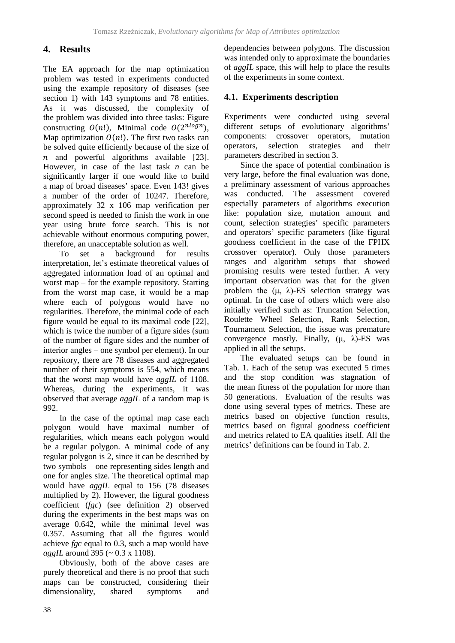## **4. Results**

The EA approach for the map optimization problem was tested in experiments conducted using the example repository of diseases (see section 1) with 143 symptoms and 78 entities. As it was discussed, the complexity of the problem was divided into three tasks: Figure constructing  $O(n!)$ , Minimal code  $O(2^{nlog n})$ , Map optimization  $O(n!)$ . The first two tasks can be solved quite efficiently because of the size of  $n$  and powerful algorithms available [23]. However, in case of the last task *n* can be significantly larger if one would like to build a map of broad diseases' space. Even 143! gives a number of the order of 10247. Therefore, approximately 32 x 106 map verification per second speed is needed to finish the work in one year using brute force search. This is not achievable without enormous computing power, therefore, an unacceptable solution as well.

To set a background for results interpretation, let's estimate theoretical values of aggregated information load of an optimal and worst map – for the example repository. Starting from the worst map case, it would be a map where each of polygons would have no regularities. Therefore, the minimal code of each figure would be equal to its maximal code [22], which is twice the number of a figure sides (sum of the number of figure sides and the number of interior angles – one symbol per element). In our repository, there are 78 diseases and aggregated number of their symptoms is 554, which means that the worst map would have *aggIL* of 1108. Whereas, during the experiments, it was observed that average *aggIL* of a random map is 992.

In the case of the optimal map case each polygon would have maximal number of regularities, which means each polygon would be a regular polygon. A minimal code of any regular polygon is 2, since it can be described by two symbols – one representing sides length and one for angles size. The theoretical optimal map would have *aggIL* equal to 156 (78 diseases multiplied by 2). However, the figural goodness coefficient (*fgc*) (see definition 2) observed during the experiments in the best maps was on average 0.642, while the minimal level was 0.357. Assuming that all the figures would achieve *fgc* equal to 0.3, such a map would have *aggIL* around 395 (~ 0.3 x 1108).

Obviously, both of the above cases are purely theoretical and there is no proof that such maps can be constructed, considering their dimensionality, shared symptoms and

dependencies between polygons. The discussion was intended only to approximate the boundaries of *aggIL* space, this will help to place the results of the experiments in some context.

## **4.1. Experiments description**

Experiments were conducted using several different setups of evolutionary algorithms' components: crossover operators, mutation operators, selection strategies and their parameters described in section 3.

Since the space of potential combination is very large, before the final evaluation was done, a preliminary assessment of various approaches was conducted. The assessment covered especially parameters of algorithms execution like: population size, mutation amount and count, selection strategies' specific parameters and operators' specific parameters (like figural goodness coefficient in the case of the FPHX crossover operator). Only those parameters ranges and algorithm setups that showed promising results were tested further. A very important observation was that for the given problem the  $(\mu, \lambda)$ -ES selection strategy was optimal. In the case of others which were also initially verified such as: Truncation Selection, Roulette Wheel Selection, Rank Selection, Tournament Selection, the issue was premature convergence mostly. Finally,  $(\mu, \lambda)$ -ES was applied in all the setups.

The evaluated setups can be found in Tab. 1. Each of the setup was executed 5 times and the stop condition was stagnation of the mean fitness of the population for more than 50 generations. Evaluation of the results was done using several types of metrics. These are metrics based on objective function results, metrics based on figural goodness coefficient and metrics related to EA qualities itself. All the metrics' definitions can be found in Tab. 2.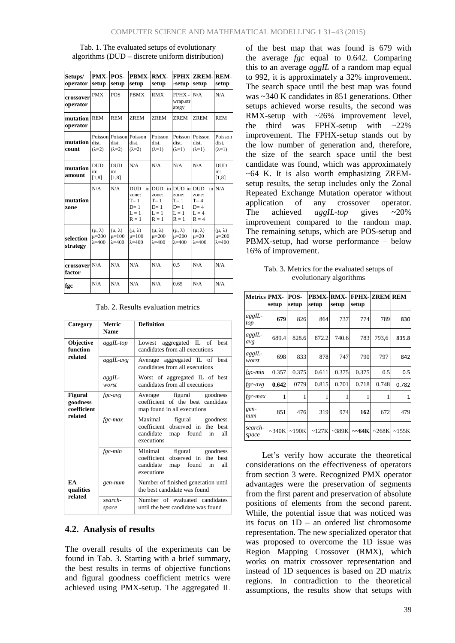Tab. 1. The evaluated setups of evolutionary algorithms (DUD – discrete uniform distribution)

| Setups/<br>operator     | PMX-POS-<br>setup                                  | setup                                              | PRMX-RMX-<br>setup                                            | setup                                                     | -setup                                                       | <b>FPHX ZREM-</b><br>setup                                    | REM-<br>setup                                      |
|-------------------------|----------------------------------------------------|----------------------------------------------------|---------------------------------------------------------------|-----------------------------------------------------------|--------------------------------------------------------------|---------------------------------------------------------------|----------------------------------------------------|
| crossover<br>operator   | <b>PMX</b>                                         | <b>POS</b>                                         | <b>PBMX</b>                                                   | <b>RMX</b>                                                | FPHX -<br>wrap.str<br>ategy                                  | N/A                                                           | N/A                                                |
| mutation<br>operator    | <b>REM</b>                                         | <b>REM</b>                                         | <b>ZREM</b>                                                   | <b>ZREM</b>                                               | <b>ZREM</b>                                                  | <b>ZREM</b>                                                   | <b>REM</b>                                         |
| mutation<br>count       | dist.<br>$(\lambda=2)$                             | Poisson Poisson<br>dist.<br>$(\lambda=2)$          | Poisson<br>dist.<br>$(\lambda=2)$                             | Poisson<br>dist.<br>$(\lambda=1)$                         | Poisson<br>dist.<br>$(\lambda=1)$                            | Poisson<br>dist.<br>$(\lambda=1)$                             | Poisson<br>dist.<br>$(\lambda=1)$                  |
| mutation<br>amount      | <b>DUD</b><br>in:<br>[1,8]                         | <b>DUD</b><br>in:<br>[1,8]                         | N/A                                                           | N/A                                                       | N/A                                                          | N/A                                                           | <b>DUD</b><br>in:<br>[1, 8]                        |
| mutation<br>zone        | N/A                                                | N/A                                                | <b>DUD</b><br>zone:<br>$T = 1$<br>$D=1$<br>$L = 1$<br>$R = 1$ | in DUD<br>zone:<br>$T = 1$<br>$D=1$<br>$L = 1$<br>$R = 1$ | in DUD in<br>zone:<br>$T = 1$<br>$D=1$<br>$L = 1$<br>$R = 1$ | <b>DUD</b><br>zone:<br>$T = 4$<br>$D=4$<br>$L = 4$<br>$R = 4$ | in $N/A$                                           |
| selection<br>strategy   | $(\mu, \lambda)$<br>$\mu = 200$<br>$\lambda = 400$ | $(\mu, \lambda)$<br>$\mu = 100$<br>$\lambda = 400$ | $(\mu, \lambda)$<br>$\mu = 100$<br>$\lambda = 400$            | $(\mu, \lambda)$<br>$\mu = 200$<br>$\lambda = 400$        | $(\mu, \lambda)$<br>$\mu = 200$<br>$\lambda = 400$           | $(\mu, \lambda)$<br>$\mu=20$<br>$\lambda = 400$               | $(\mu, \lambda)$<br>$\mu = 200$<br>$\lambda = 400$ |
| crossover N/A<br>factor |                                                    | N/A                                                | N/A                                                           | N/A                                                       | 0.5                                                          | N/A                                                           | N/A                                                |
| fgc                     | N/A                                                | N/A                                                | N/A                                                           | N/A                                                       | 0.65                                                         | N/A                                                           | N/A                                                |

Tab. 2. Results evaluation metrics

| Category                                                                                          | Metric<br><b>Name</b> | <b>Definition</b>                                                                                                       |  |  |  |
|---------------------------------------------------------------------------------------------------|-----------------------|-------------------------------------------------------------------------------------------------------------------------|--|--|--|
| Objective<br>function                                                                             | aggIL-top             | Lowest aggregated IL of<br>best<br>candidates from all executions                                                       |  |  |  |
| related                                                                                           | aggIL-avg             | Average aggregated IL of best<br>candidates from all executions                                                         |  |  |  |
|                                                                                                   | $aggIL-$<br>worst     | Worst of aggregated IL of best<br>candidates from all executions                                                        |  |  |  |
| <b>Figural</b><br>goodness<br>coefficient                                                         | $fgc-avg$             | Average figural goodness<br>coefficient of the best candidate<br>map found in all executions                            |  |  |  |
| related                                                                                           | $fgc\text{-}max$      | Maximal<br>figural goodness<br>observed in the best<br>coefficient<br>candidate<br>map found<br>all<br>in<br>executions |  |  |  |
|                                                                                                   | $fgc-min$             | Minimal<br>figural goodness<br>observed in the best<br>coefficient<br>candidate<br>map found<br>all<br>in<br>executions |  |  |  |
| EA<br>Number of finished generation until<br>gen-num<br>the best candidate was found<br>qualities |                       |                                                                                                                         |  |  |  |
| related                                                                                           | search-<br>space      | Number of evaluated candidates<br>until the best candidate was found                                                    |  |  |  |

## **4.2. Analysis of results**

The overall results of the experiments can be found in Tab. 3. Starting with a brief summary, the best results in terms of objective functions and figural goodness coefficient metrics were achieved using PMX-setup. The aggregated IL

of the best map that was found is 679 with the average *fgc* equal to 0.642. Comparing this to an average *aggIL* of a random map equal to 992, it is approximately a 32% improvement. The search space until the best map was found was ~340 K candidates in 851 generations. Other setups achieved worse results, the second was RMX-setup with  $\sim$ 26% improvement level, the third was FPHX-setup with  $\approx 22\%$ improvement. The FPHX-setup stands out by the low number of generation and, therefore, the size of the search space until the best candidate was found, which was approximately  $~64$  K. It is also worth emphasizing ZREMsetup results, the setup includes only the Zonal Repeated Exchange Mutation operator without application of any crossover operator. The achieved *aggIL-top* gives ~20% improvement compared to the random map. The remaining setups, which are POS-setup and PBMX-setup, had worse performance – below 16% of improvement.

Tab. 3. Metrics for the evaluated setups of evolutionary algorithms

| <b>Metrics PMX-</b> | setup | POS-<br>setup | <b>PBMX-RMX-</b><br>setup | setup  | <b>FPHX-ZREM REM</b><br>setup |       |              |
|---------------------|-------|---------------|---------------------------|--------|-------------------------------|-------|--------------|
| $aggIL-$<br>top     | 679   | 826           | 864                       | 737    | 774                           | 789   | 830          |
| $aggIL-$<br>avg     | 689.4 | 828.6         | 872.2                     | 740.6  | 783                           | 793,6 | 835.8        |
| $aggIL-$<br>worst   | 698   | 833           | 878                       | 747    | 790                           | 797   | 842          |
| $fgc-min$           | 0.357 | 0.375         | 0.611                     | 0.375  | 0.375                         | 0.5   | 0.5          |
| $fgc-avg$           | 0.642 | 0779          | 0.815                     | 0.701  | 0.718                         | 0.748 | 0.782        |
| fgc-max             | 1     | 1             |                           |        |                               |       | $\mathbf{1}$ |
| gen-<br>num         | 851   | 476           | 319                       | 974    | 162                           | 672   | 479          |
| search-<br>space    | ~240K | ~190K         | ~127K                     | ~2389K | $\sim$ 64K                    | ~268K | ~155K        |

Let's verify how accurate the theoretical considerations on the effectiveness of operators from section 3 were. Recognized PMX operator advantages were the preservation of segments from the first parent and preservation of absolute positions of elements from the second parent. While, the potential issue that was noticed was its focus on 1D – an ordered list chromosome representation. The new specialized operator that was proposed to overcome the 1D issue was Region Mapping Crossover (RMX), which works on matrix crossover representation and instead of 1D sequences is based on 2D matrix regions. In contradiction to the theoretical assumptions, the results show that setups with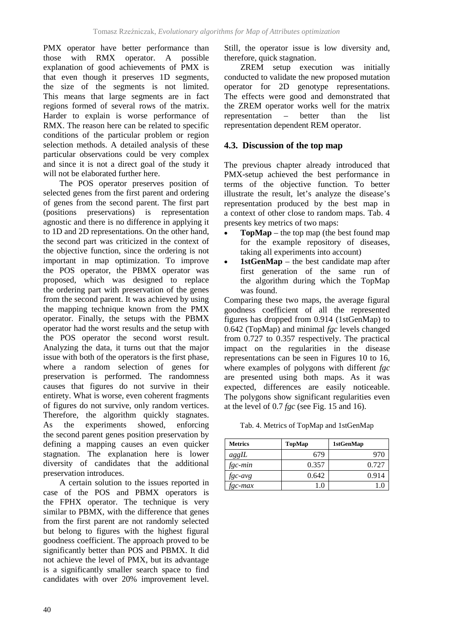PMX operator have better performance than those with RMX operator. A possible explanation of good achievements of PMX is that even though it preserves 1D segments, the size of the segments is not limited. This means that large segments are in fact regions formed of several rows of the matrix. Harder to explain is worse performance of RMX. The reason here can be related to specific conditions of the particular problem or region selection methods. A detailed analysis of these particular observations could be very complex and since it is not a direct goal of the study it will not be elaborated further here.

The POS operator preserves position of selected genes from the first parent and ordering of genes from the second parent. The first part (positions preservations) is representation agnostic and there is no difference in applying it to 1D and 2D representations. On the other hand, the second part was criticized in the context of the objective function, since the ordering is not important in map optimization. To improve the POS operator, the PBMX operator was proposed, which was designed to replace the ordering part with preservation of the genes from the second parent. It was achieved by using the mapping technique known from the PMX operator. Finally, the setups with the PBMX operator had the worst results and the setup with the POS operator the second worst result. Analyzing the data, it turns out that the major issue with both of the operators is the first phase, where a random selection of genes for preservation is performed. The randomness causes that figures do not survive in their entirety. What is worse, even coherent fragments of figures do not survive, only random vertices. Therefore, the algorithm quickly stagnates. As the experiments showed, enforcing the second parent genes position preservation by defining a mapping causes an even quicker stagnation. The explanation here is lower diversity of candidates that the additional preservation introduces.

A certain solution to the issues reported in case of the POS and PBMX operators is the FPHX operator. The technique is very similar to PBMX, with the difference that genes from the first parent are not randomly selected but belong to figures with the highest figural goodness coefficient. The approach proved to be significantly better than POS and PBMX. It did not achieve the level of PMX, but its advantage is a significantly smaller search space to find candidates with over 20% improvement level. Still, the operator issue is low diversity and, therefore, quick stagnation.

ZREM setup execution was initially conducted to validate the new proposed mutation operator for 2D genotype representations. The effects were good and demonstrated that the ZREM operator works well for the matrix representation – better than the list representation dependent REM operator.

### **4.3. Discussion of the top map**

The previous chapter already introduced that PMX-setup achieved the best performance in terms of the objective function. To better illustrate the result, let's analyze the disease's representation produced by the best map in a context of other close to random maps. Tab. 4 presents key metrics of two maps:

- **TopMap** the top map (the best found map for the example repository of diseases, taking all experiments into account)
- **1stGenMap** the best candidate map after first generation of the same run of the algorithm during which the TopMap was found.

Comparing these two maps, the average figural goodness coefficient of all the represented figures has dropped from 0.914 (1stGenMap) to 0.642 (TopMap) and minimal *fgc* levels changed from 0.727 to 0.357 respectively. The practical impact on the regularities in the disease representations can be seen in Figures 10 to 16, where examples of polygons with different *fgc* are presented using both maps. As it was expected, differences are easily noticeable. The polygons show significant regularities even at the level of 0.7 *fgc* (see Fig. 15 and 16).

Tab. 4. Metrics of TopMap and 1stGenMap

| <b>Metrics</b> | TopMap | 1stGenMap |
|----------------|--------|-----------|
| aggL           | 679    | -976      |
| fgc-min        | 0.357  | 0.727     |
| fgc-avg        | 0.642  | 0.914     |
| fgc-max        |        |           |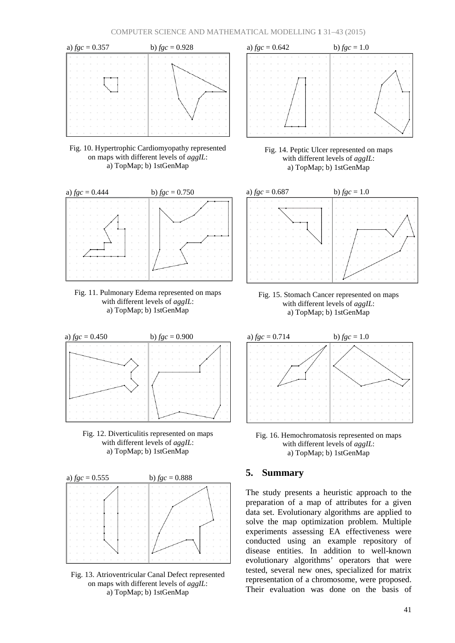![](_page_10_Figure_1.jpeg)

Fig. 10. Hypertrophic Cardiomyopathy represented on maps with different levels of *aggIL*: a) TopMap; b) 1stGenMap

![](_page_10_Figure_3.jpeg)

![](_page_10_Figure_4.jpeg)

![](_page_10_Figure_5.jpeg)

![](_page_10_Figure_6.jpeg)

![](_page_10_Figure_7.jpeg)

![](_page_10_Figure_8.jpeg)

![](_page_10_Figure_9.jpeg)

Fig. 13. Atrioventricular Canal Defect represented on maps with different levels of *aggIL*: a) TopMap; b) 1stGenMap

![](_page_10_Figure_11.jpeg)

Fig. 15. Stomach Cancer represented on maps with different levels of *aggIL*: a) TopMap; b) 1stGenMap

![](_page_10_Figure_13.jpeg)

![](_page_10_Figure_14.jpeg)

#### **5. Summary**

The study presents a heuristic approach to the preparation of a map of attributes for a given data set. Evolutionary algorithms are applied to solve the map optimization problem. Multiple experiments assessing EA effectiveness were conducted using an example repository of disease entities. In addition to well-known evolutionary algorithms' operators that were tested, several new ones, specialized for matrix representation of a chromosome, were proposed. Their evaluation was done on the basis of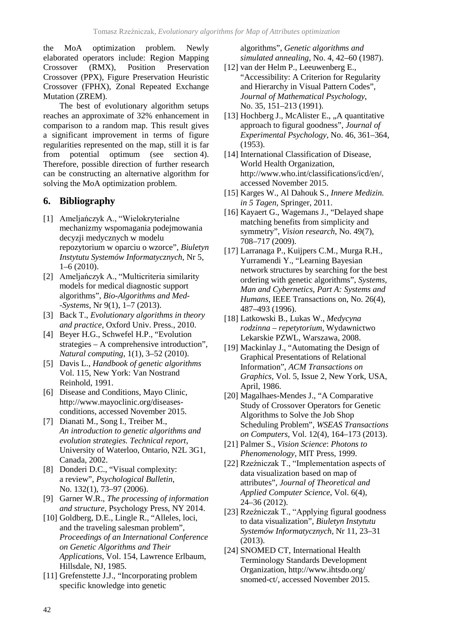the MoA optimization problem. Newly elaborated operators include: Region Mapping Crossover (RMX), Position Preservation Crossover (PPX), Figure Preservation Heuristic Crossover (FPHX), Zonal Repeated Exchange Mutation (ZREM).

The best of evolutionary algorithm setups reaches an approximate of 32% enhancement in comparison to a random map. This result gives a significant improvement in terms of figure regularities represented on the map, still it is far from potential optimum (see section 4). Therefore, possible direction of further research can be constructing an alternative algorithm for solving the MoA optimization problem.

# **6. Bibliography**

- [1] Ameljańczyk A., "Wielokryterialne mechanizmy wspomagania podejmowania decyzji medycznych w modelu repozytorium w oparciu o wzorce", *Biuletyn Instytutu Systemów Informatycznych*, Nr 5,  $1-6(2010)$ .
- [2] Ameljańczyk A., "Multicriteria similarity models for medical diagnostic support algorithms", *Bio-Algorithms and Med- -Systems*, Nr 9(1), 1–7 (2013).
- [3] Back T., *Evolutionary algorithms in theory and practice*, Oxford Univ. Press., 2010.
- [4] Beyer H.G., Schwefel H.P., "Evolution strategies – A comprehensive introduction", *Natural computing*, 1(1), 3–52 (2010).
- [5] Davis L., *Handbook of genetic algorithms* Vol. 115, New York: Van Nostrand Reinhold, 1991.
- [6] Disease and Conditions, Mayo Clinic, http://www.mayoclinic.org/diseasesconditions, accessed November 2015.
- [7] Dianati M., Song I., Treiber M., *An introduction to genetic algorithms and evolution strategies. Technical report*, University of Waterloo, Ontario, N2L 3G1, Canada, 2002.
- [8] Donderi D.C., "Visual complexity: a review", *Psychological Bulletin*, No. 132(1), 73–97 (2006).
- [9] Garner W.R., *The processing of information and structure*, Psychology Press, NY 2014.
- [10] Goldberg, D.E., Lingle R., "Alleles, loci, and the traveling salesman problem", *Proceedings of an International Conference on Genetic Algorithms and Their Applications*, Vol. 154, Lawrence Erlbaum, Hillsdale, NJ, 1985.
- [11] Grefenstette J.J., "Incorporating problem" specific knowledge into genetic

algorithms", *Genetic algorithms and simulated annealing*, No. 4, 42–60 (1987).

- [12] van der Helm P., Leeuwenberg E., "Accessibility: A Criterion for Regularity and Hierarchy in Visual Pattern Codes", *Journal of Mathematical Psychology*, No. 35, 151–213 (1991).
- [13] Hochberg J., McAlister E., "A quantitative approach to figural goodness", *Journal of Experimental Psychology*, No. 46, 361–364, (1953).
- [14] International Classification of Disease, World Health Organization, http://www.who.int/classifications/icd/en/, accessed November 2015.
- [15] Karges W., Al Dahouk S., *Innere Medizin. in 5 Tagen*, Springer, 2011.
- [16] Kayaert G., Wagemans J., "Delayed shape matching benefits from simplicity and symmetry", *Vision research*, No. 49(7), 708–717 (2009).
- [17] Larranaga P., Kuijpers C.M., Murga R.H., Yurramendi Y., "Learning Bayesian network structures by searching for the best ordering with genetic algorithms", *Systems, Man and Cybernetics*, *Part A: Systems and Humans*, IEEE Transactions on, No. 26(4), 487–493 (1996).
- [18] Latkowski B., Lukas W., *Medycyna rodzinna – repetytorium*, Wydawnictwo Lekarskie PZWL, Warszawa, 2008.
- [19] Mackinlay J., "Automating the Design of Graphical Presentations of Relational Information", *ACM Transactions on Graphics*, Vol. 5, Issue 2, New York, USA, April, 1986.
- [20] Magalhaes-Mendes J., "A Comparative Study of Crossover Operators for Genetic Algorithms to Solve the Job Shop Scheduling Problem", *WSEAS Transactions on Computers*, Vol. 12(4), 164–173 (2013).
- [21] Palmer S., *Vision Science*: *Photons to Phenomenology*, MIT Press, 1999.
- [22] Rzeźniczak T., "Implementation aspects of data visualization based on map of attributes", *Journal of Theoretical and Applied Computer Science*, Vol. 6(4), 24–36 (2012).
- [23] Rzeźniczak T., "Applying figural goodness to data visualization", *Biuletyn Instytutu Systemów Informatycznych*, Nr 11, 23–31 (2013).
- [24] SNOMED CT, International Health Terminology Standards Development Organization, http://www.ihtsdo.org/ snomed-ct/, accessed November 2015.